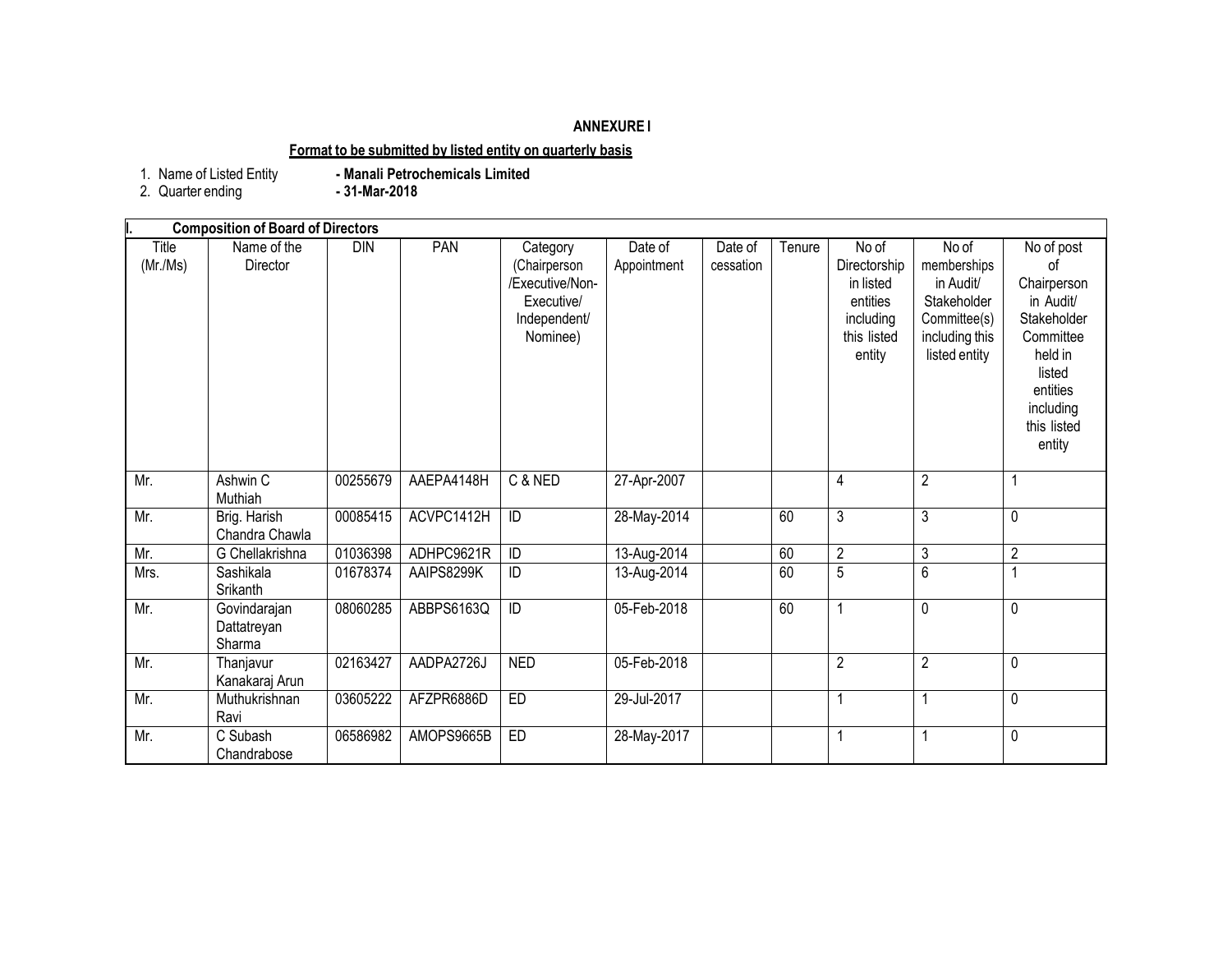### **ANNEXURE I**

### **Format to be submitted by listed entity on quarterly basis**

1. Name of Listed Entity<br>2. Quarter ending

- Manali Petrochemicals Limited<br>- 31-Mar-2018

| <b>Composition of Board of Directors</b> |                                       |          |            |                                                                                       |                        |                      |        |                                                                                      |                                                                                                     |                                                                                                                                                 |
|------------------------------------------|---------------------------------------|----------|------------|---------------------------------------------------------------------------------------|------------------------|----------------------|--------|--------------------------------------------------------------------------------------|-----------------------------------------------------------------------------------------------------|-------------------------------------------------------------------------------------------------------------------------------------------------|
| Title<br>(Mr/Ms)                         | Name of the<br>Director               | DIN      | PAN        | Category<br>(Chairperson<br>/Executive/Non-<br>Executive/<br>Independent/<br>Nominee) | Date of<br>Appointment | Date of<br>cessation | Tenure | No of<br>Directorship<br>in listed<br>entities<br>including<br>this listed<br>entity | No of<br>memberships<br>in Audit/<br>Stakeholder<br>Committee(s)<br>including this<br>listed entity | No of post<br>0f<br>Chairperson<br>in Audit/<br>Stakeholder<br>Committee<br>held in<br>listed<br>entities<br>including<br>this listed<br>entity |
| Mr.                                      | Ashwin C<br>Muthiah                   | 00255679 | AAEPA4148H | C & NED                                                                               | 27-Apr-2007            |                      |        | $\overline{4}$                                                                       | $\overline{2}$                                                                                      | $\overline{1}$                                                                                                                                  |
| Mr.                                      | Brig. Harish<br>Chandra Chawla        | 00085415 | ACVPC1412H | ID                                                                                    | 28-May-2014            |                      | 60     | $\overline{3}$                                                                       | 3                                                                                                   | $\mathbf 0$                                                                                                                                     |
| Mr.                                      | G Chellakrishna                       | 01036398 | ADHPC9621R | ID                                                                                    | 13-Aug-2014            |                      | 60     | $\overline{2}$                                                                       | $\mathfrak{Z}$                                                                                      | $\overline{2}$                                                                                                                                  |
| Mrs.                                     | Sashikala<br>Srikanth                 | 01678374 | AAIPS8299K | ID                                                                                    | 13-Aug-2014            |                      | 60     | $\overline{5}$                                                                       | 6                                                                                                   | 1                                                                                                                                               |
| Mr.                                      | Govindarajan<br>Dattatreyan<br>Sharma | 08060285 | ABBPS6163Q | $\overline{D}$                                                                        | 05-Feb-2018            |                      | 60     | $\overline{1}$                                                                       | $\mathbf 0$                                                                                         | $\mathbf 0$                                                                                                                                     |
| Mr.                                      | Thanjavur<br>Kanakaraj Arun           | 02163427 | AADPA2726J | <b>NED</b>                                                                            | 05-Feb-2018            |                      |        | $\overline{2}$                                                                       | $\overline{2}$                                                                                      | 0                                                                                                                                               |
| Mr.                                      | Muthukrishnan<br>Ravi                 | 03605222 | AFZPR6886D | ED                                                                                    | 29-Jul-2017            |                      |        | 1                                                                                    |                                                                                                     | $\mathbf 0$                                                                                                                                     |
| Mr.                                      | C Subash<br>Chandrabose               | 06586982 | AMOPS9665B | ED                                                                                    | 28-May-2017            |                      |        | 1                                                                                    | 1                                                                                                   | $\mathbf 0$                                                                                                                                     |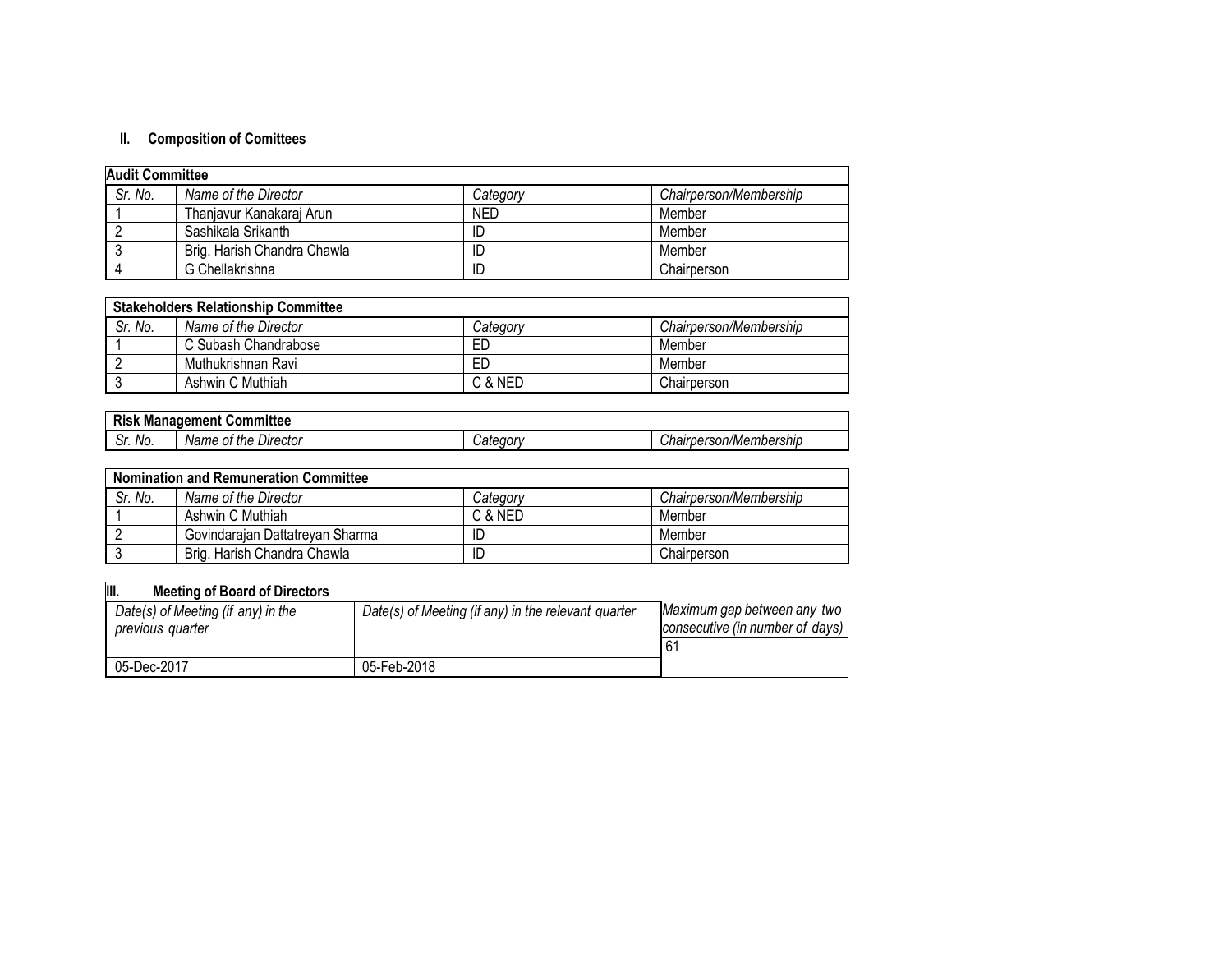# **II. Composition of Comittees**

| <b>Audit Committee</b> |                             |            |                        |  |
|------------------------|-----------------------------|------------|------------------------|--|
| Sr. No.                | Name of the Director        | Category   | Chairperson/Membership |  |
|                        | Thanjavur Kanakaraj Arun    | <b>NED</b> | Member                 |  |
|                        | Sashikala Srikanth          | ID         | Member                 |  |
|                        | Brig. Harish Chandra Chawla | ID         | Member                 |  |
|                        | G Chellakrishna             | ID         | Chairperson            |  |

| <b>Stakeholders Relationship Committee</b> |                      |          |                        |  |
|--------------------------------------------|----------------------|----------|------------------------|--|
| Sr. No.                                    | Name of the Director | Categorv | Chairperson/Membership |  |
|                                            | C Subash Chandrabose | ED       | Member                 |  |
|                                            | Muthukrishnan Ravi   | ED       | Member                 |  |
|                                            | Ashwin C Muthiah     | C & NED  | Chairperson            |  |

| --<br>DI.<br>.<br>:nmmitter<br>"anagemer"<br>Manadem<br> |                               |           |                                                                |  |
|----------------------------------------------------------|-------------------------------|-----------|----------------------------------------------------------------|--|
| -<br>Sr. No.                                             | Director<br>Name<br>the<br>0t | ,aıc<br>◡ | $\sim$<br>mbershir<br>.აon/Mem*<br>'hoirnarca<br>ъer.<br>vuall |  |

| <b>Nomination and Remuneration Committee</b> |                                 |                 |                        |  |
|----------------------------------------------|---------------------------------|-----------------|------------------------|--|
| Sr. No.                                      | Name of the Director            | <i>Category</i> | Chairperson/Membership |  |
|                                              | Ashwin C Muthiah                | C & NED         | Member                 |  |
|                                              | Govindarajan Dattatreyan Sharma | ID              | Member                 |  |
|                                              | Brig, Harish Chandra Chawla     | ID              | Chairperson            |  |

| III.<br><b>Meeting of Board of Directors</b>           |                                                     |                                                                |
|--------------------------------------------------------|-----------------------------------------------------|----------------------------------------------------------------|
| Date(s) of Meeting (if any) in the<br>previous quarter | Date(s) of Meeting (if any) in the relevant quarter | Maximum gap between any two<br>consecutive (in number of days) |
|                                                        | 05-Feb-2018                                         | 6                                                              |
| 05-Dec-2017                                            |                                                     |                                                                |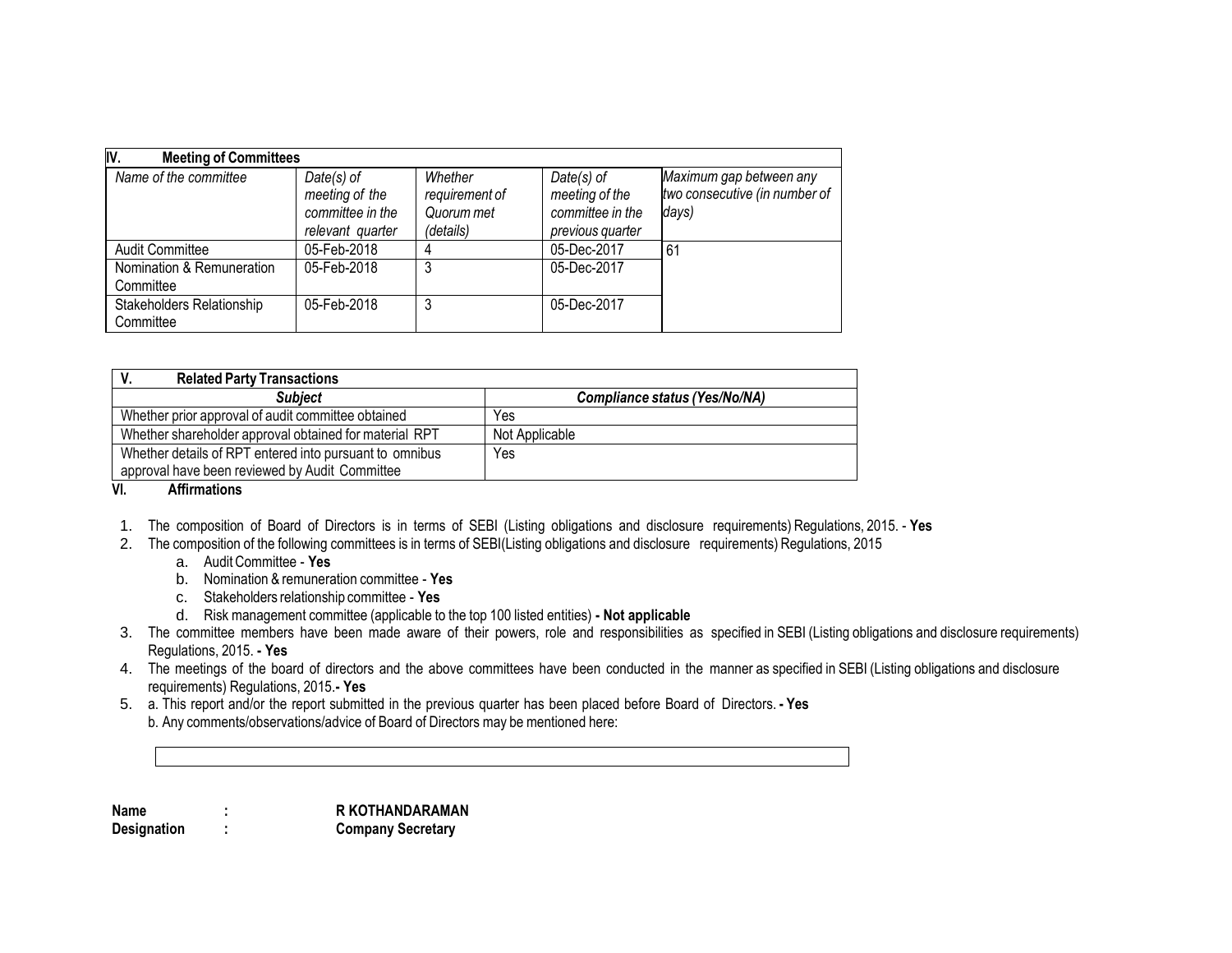| IV.<br><b>Meeting of Committees</b>           |                                                                        |                                                      |                                                                      |                                                                   |
|-----------------------------------------------|------------------------------------------------------------------------|------------------------------------------------------|----------------------------------------------------------------------|-------------------------------------------------------------------|
| Name of the committee                         | $Date(s)$ of<br>meeting of the<br>committee in the<br>relevant quarter | Whether<br>requirement of<br>Quorum met<br>(details) | Date(s) of<br>meeting of the<br>committee in the<br>previous quarter | Maximum gap between any<br>two consecutive (in number of<br>days) |
| Audit Committee                               | 05-Feb-2018                                                            |                                                      | 05-Dec-2017                                                          | 61                                                                |
| Nomination & Remuneration<br>Committee        | 05-Feb-2018                                                            | 3                                                    | 05-Dec-2017                                                          |                                                                   |
| <b>Stakeholders Relationship</b><br>Committee | 05-Feb-2018                                                            |                                                      | 05-Dec-2017                                                          |                                                                   |

| <b>Related Party Transactions</b>                       |                               |
|---------------------------------------------------------|-------------------------------|
| <b>Subject</b>                                          | Compliance status (Yes/No/NA) |
| Whether prior approval of audit committee obtained      | Yes                           |
| Whether shareholder approval obtained for material RPT  | Not Applicable                |
| Whether details of RPT entered into pursuant to omnibus | Yes                           |
| approval have been reviewed by Audit Committee          |                               |

**VI. Affirmations**

- 1. The composition of Board of Directors is in terms of SEBI (Listing obligations and disclosure requirements) Regulations, 2015. **Yes**
- 2. The composition of the following committees is in terms of SEBI(Listing obligations and disclosure requirements) Regulations, 2015
	- a. AuditCommittee **Yes**
	- b. Nomination & remuneration committee **Yes**
	- c. Stakeholders relationship committee **Yes**
	- d. Risk management committee (applicable to the top 100 listed entities) **- Not applicable**
- 3. The committee members have been made aware of their powers, role and responsibilities as specified in SEBI (Listing obligations and disclosure requirements) Regulations, 2015. **- Yes**
- 4. The meetings of the board of directors and the above committees have been conducted in the manner as specified in SEBI (Listing obligations and disclosure requirements) Regulations, 2015.**- Yes**
- 5. a. This report and/or the report submitted in the previous quarter has been placed before Board of Directors. **- Yes** b. Any comments/observations/advice of Board of Directors may be mentioned here:

| <b>Name</b>        | <b>R KOTHANDARAMAN</b>   |
|--------------------|--------------------------|
| <b>Designation</b> | <b>Company Secretary</b> |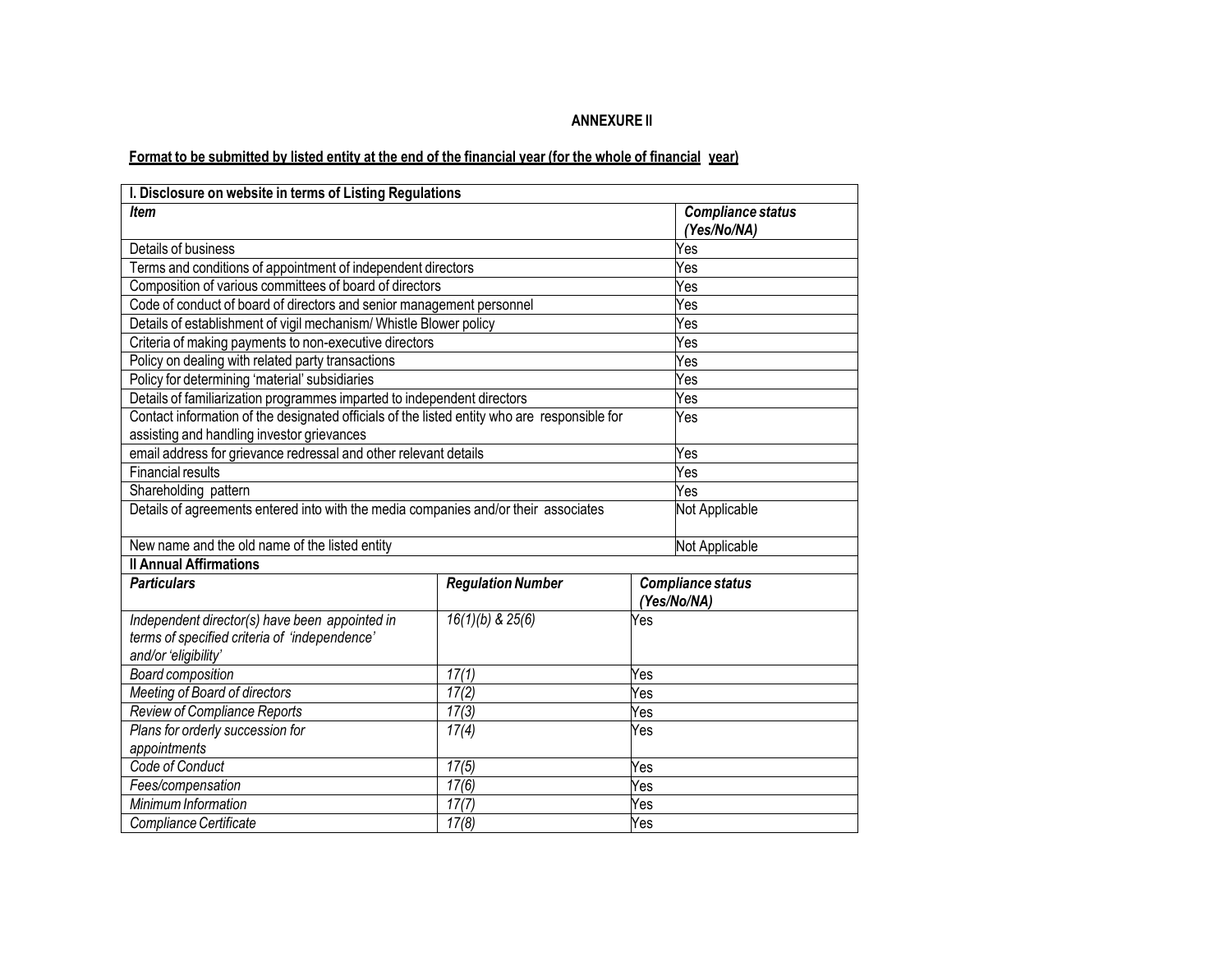### **ANNEXURE II**

# Format to be submitted by listed entity at the end of the financial year (for the whole of financial year)

| I. Disclosure on website in terms of Listing Regulations                                                                                   |                                         |     |                                  |
|--------------------------------------------------------------------------------------------------------------------------------------------|-----------------------------------------|-----|----------------------------------|
| <b>Item</b>                                                                                                                                | <b>Compliance status</b><br>(Yes/No/NA) |     |                                  |
| Details of business                                                                                                                        |                                         |     | Yes                              |
| Terms and conditions of appointment of independent directors                                                                               |                                         |     | Yes                              |
| Composition of various committees of board of directors                                                                                    |                                         |     | Yes                              |
| Code of conduct of board of directors and senior management personnel                                                                      |                                         |     | Yes                              |
| Details of establishment of vigil mechanism/ Whistle Blower policy                                                                         |                                         |     | Yes                              |
| Criteria of making payments to non-executive directors                                                                                     |                                         |     | Yes                              |
| Policy on dealing with related party transactions                                                                                          |                                         |     | Yes                              |
| Policy for determining 'material' subsidiaries                                                                                             |                                         |     | Yes                              |
| Details of familiarization programmes imparted to independent directors                                                                    |                                         |     | Yes                              |
| Contact information of the designated officials of the listed entity who are responsible for<br>assisting and handling investor grievances |                                         |     | Yes                              |
| email address for grievance redressal and other relevant details                                                                           |                                         |     | Yes                              |
| <b>Financial results</b>                                                                                                                   |                                         |     | Yes                              |
| Shareholding pattern                                                                                                                       |                                         |     | Yes                              |
| Details of agreements entered into with the media companies and/or their associates                                                        |                                         |     | Not Applicable                   |
| New name and the old name of the listed entity                                                                                             |                                         |     | Not Applicable                   |
| <b>Il Annual Affirmations</b>                                                                                                              |                                         |     |                                  |
| <b>Particulars</b>                                                                                                                         | <b>Regulation Number</b>                |     | Compliance status<br>(Yes/No/NA) |
| Independent director(s) have been appointed in<br>terms of specified criteria of 'independence'<br>and/or 'eligibility'                    | $16(1)(b)$ & $25(6)$                    | Yes |                                  |
| <b>Board composition</b>                                                                                                                   | 17(1)                                   | Yes |                                  |
| Meeting of Board of directors                                                                                                              | 17(2)                                   | Yes |                                  |
| Review of Compliance Reports<br>17(3)<br>Yes                                                                                               |                                         |     |                                  |
| Plans for orderly succession for<br>appointments                                                                                           | 17(4)                                   | Yes |                                  |
| Code of Conduct<br>17(5)<br>Yes                                                                                                            |                                         |     |                                  |
| Fees/compensation                                                                                                                          | 17(6)                                   | Yes |                                  |
| Minimum Information                                                                                                                        | 17(7)                                   | Yes |                                  |
| Compliance Certificate                                                                                                                     | 17(8)                                   | Yes |                                  |